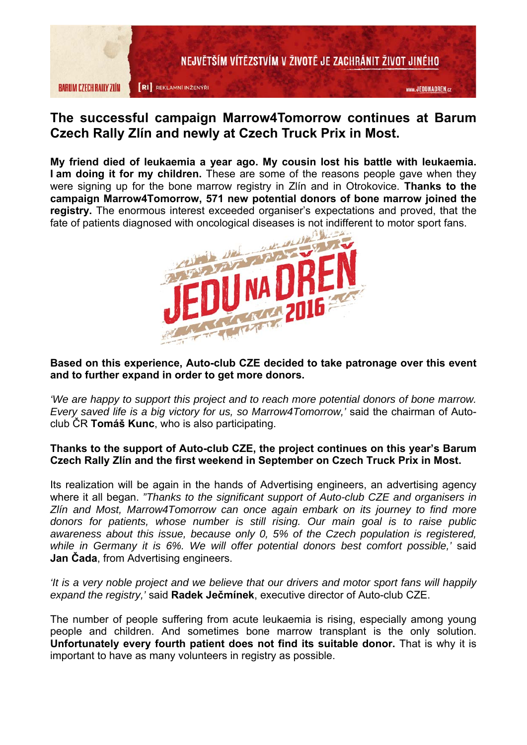

# **The successful campaign Marrow4Tomorrow continues at Barum Czech Rally Zlín and newly at Czech Truck Prix in Most.**

**My friend died of leukaemia a year ago. My cousin lost his battle with leukaemia. I am doing it for my children.** These are some of the reasons people gave when they were signing up for the bone marrow registry in Zlín and in Otrokovice. **Thanks to the campaign Marrow4Tomorrow, 571 new potential donors of bone marrow joined the registry.** The enormous interest exceeded organiser's expectations and proved, that the fate of patients diagnosed with oncological diseases is not indifferent to motor sport fans.



### **Based on this experience, Auto-club CZE decided to take patronage over this event and to further expand in order to get more donors.**

*'We are happy to support this project and to reach more potential donors of bone marrow. Every saved life is a big victory for us, so Marrow4Tomorrow,'* said the chairman of Autoclub ČR **Tomáš Kunc**, who is also participating.

## **Thanks to the support of Auto-club CZE, the project continues on this year's Barum Czech Rally Zlín and the first weekend in September on Czech Truck Prix in Most.**

Its realization will be again in the hands of Advertising engineers, an advertising agency where it all began. *"Thanks to the significant support of Auto-club CZE and organisers in Zlín and Most, Marrow4Tomorrow can once again embark on its journey to find more donors for patients, whose number is still rising. Our main goal is to raise public awareness about this issue, because only 0, 5% of the Czech population is registered, while in Germany it is 6%. We will offer potential donors best comfort possible,'* said **Jan Čada**, from Advertising engineers.

*'It is a very noble project and we believe that our drivers and motor sport fans will happily expand the registry,'* said **Radek Ječmínek**, executive director of Auto-club CZE.

The number of people suffering from acute leukaemia is rising, especially among young people and children. And sometimes bone marrow transplant is the only solution. **Unfortunately every fourth patient does not find its suitable donor.** That is why it is important to have as many volunteers in registry as possible.